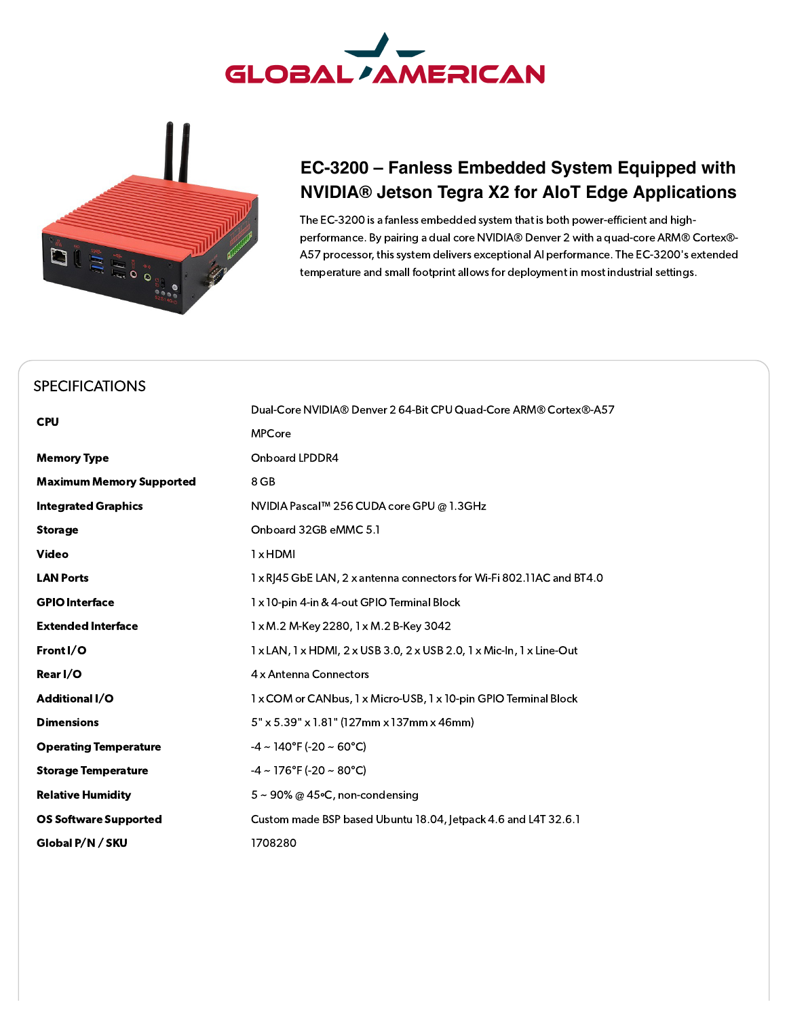



## **EC-3200 – Fanless Embedded System Equipped with NVIDIA® Jetson Tegra X2 for AIoT Edge Applications**

The EC-3200 is a fanless embedded system that is both power-efficient and highperformance. By pairing a dual core NVIDIA® Denver 2 with a quad-core ARM® Cortex®- A57 processor, this system delivers exceptional AI performance. The EC-3200's extended temperature and small footprint allows for deployment in most industrial settings.

## [SPECIFICATIONS](#page-0-0)

<span id="page-0-0"></span>

| <b>CPU</b>                      | Dual-Core NVIDIA® Denver 2 64-Bit CPU Quad-Core ARM® Cortex®-A57                                                |
|---------------------------------|-----------------------------------------------------------------------------------------------------------------|
|                                 | <b>MPCore</b>                                                                                                   |
| <b>Memory Type</b>              | Onboard LPDDR4                                                                                                  |
| <b>Maximum Memory Supported</b> | 8 GB                                                                                                            |
| <b>Integrated Graphics</b>      | NVIDIA Pascal™ 256 CUDA core GPU @ 1.3GHz                                                                       |
| <b>Storage</b>                  | Onboard 32GB eMMC 5.1                                                                                           |
| <b>Video</b>                    | $1 \times$ HDMI                                                                                                 |
| <b>LAN Ports</b>                | 1 x RJ45 GbE LAN, 2 x antenna connectors for Wi-Fi 802.11AC and BT4.0                                           |
| <b>GPIO Interface</b>           | 1 x 10-pin 4-in & 4-out GPIO Terminal Block                                                                     |
| <b>Extended Interface</b>       | 1 x M.2 M-Key 2280, 1 x M.2 B-Key 3042                                                                          |
| Front I/O                       | $1 \times$ LAN, $1 \times$ HDMI, $2 \times$ USB 3.0, $2 \times$ USB 2.0, $1 \times$ Mic-In, $1 \times$ Line-Out |
| Rear I/O                        | 4 x Antenna Connectors                                                                                          |
| <b>Additional I/O</b>           | 1 x COM or CANbus, 1 x Micro-USB, 1 x 10-pin GPIO Terminal Block                                                |
| <b>Dimensions</b>               | $5" \times 5.39" \times 1.81"$ (127mm x 137mm x 46mm)                                                           |
| <b>Operating Temperature</b>    | $-4 \sim 140^{\circ}$ F (-20 ~ 60 $^{\circ}$ C)                                                                 |
| <b>Storage Temperature</b>      | $-4 \sim 176^{\circ}$ F (-20 ~ 80 $^{\circ}$ C)                                                                 |
| <b>Relative Humidity</b>        | $5 \sim 90\%$ @ 45 °C, non-condensing                                                                           |
| <b>OS Software Supported</b>    | Custom made BSP based Ubuntu 18.04, Jetpack 4.6 and L4T 32.6.1                                                  |
| Global P/N / SKU                | 1708280                                                                                                         |